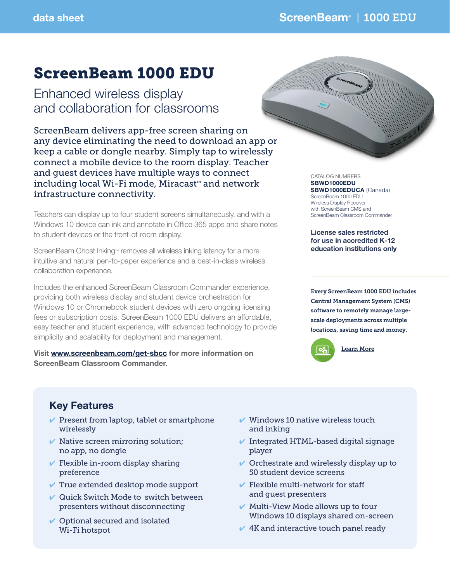# ScreenBeam 1000 EDU

Enhanced wireless display and collaboration for classrooms

ScreenBeam delivers app-free screen sharing on any device eliminating the need to download an app or keep a cable or dongle nearby. Simply tap to wirelessly connect a mobile device to the room display. Teacher and guest devices have multiple ways to connect including local Wi-Fi mode, Miracast™ and network infrastructure connectivity.

Teachers can display up to four student screens simultaneously, and with a Windows 10 device can ink and annotate in Office 365 apps and share notes to student devices or the front-of-room display.

ScreenBeam Ghost Inking™ removes all wireless inking latency for a more intuitive and natural pen-to-paper experience and a best-in-class wireless collaboration experience.

Includes the enhanced ScreenBeam Classroom Commander experience, providing both wireless display and student device orchestration for Windows 10 or Chromebook student devices with zero ongoing licensing fees or subscription costs. ScreenBeam 1000 EDU delivers an affordable, easy teacher and student experience, with advanced technology to provide simplicity and scalability for deployment and management.

Visit www.screenbeam.com/get-sbcc for more information on ScreenBeam Classroom Commander.



CATALOG NUMBERS SBWD1000EDU SBWD1000EDUCA (Canada) ScreenBeam 1000 EDU Wireless Display Receiver with ScreenBeam CMS and ScreenBeam Classroom Commander

License sales restricted for use in accredited K-12 education institutions only

Every ScreenBeam 1000 EDU includes Central Management System (CMS) software to remotely manage largescale deployments across multiple locations, saving time and money.



# Key Features

- $\vee$  Present from laptop, tablet or smartphone wirelessly
- $\vee$  Native screen mirroring solution; no app, no dongle
- $\vee$  Flexible in-room display sharing preference
- $\vee$  True extended desktop mode support
- $\vee$  Quick Switch Mode to switch between presenters without disconnecting
- $\vee$  Optional secured and isolated Wi-Fi hotspot
- $\checkmark$  Windows 10 native wireless touch and inking
- $\blacktriangleright$  Integrated HTML-based digital signage player
- $\vee$  Orchestrate and wirelessly display up to 50 student device screens
- $\vee$  Flexible multi-network for staff and guest presenters
- $\vee$  Multi-View Mode allows up to four Windows 10 displays shared on-screen
- $\vee$  4K and interactive touch panel ready